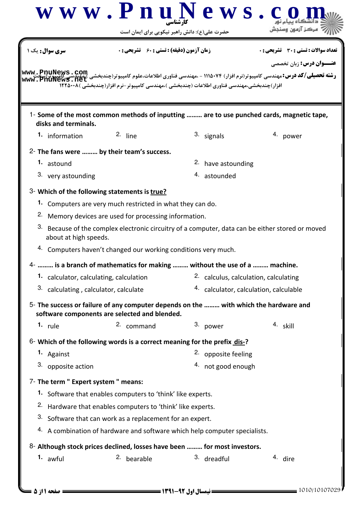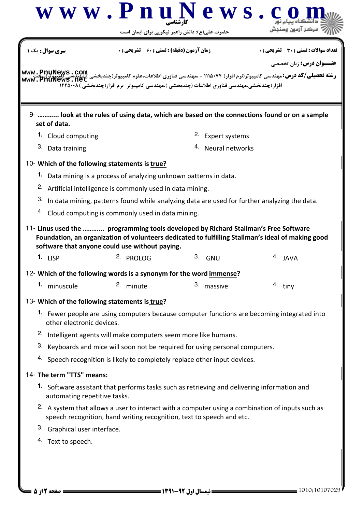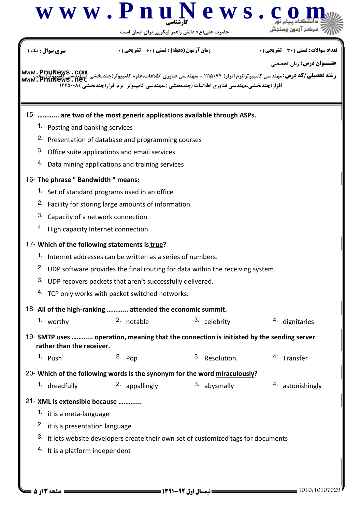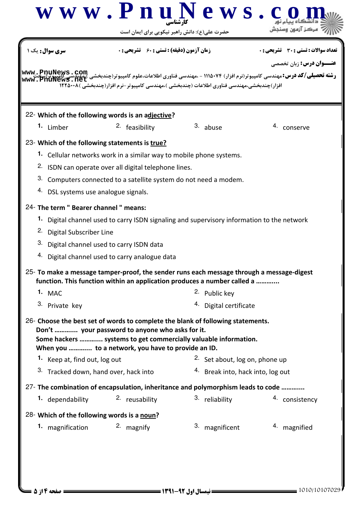